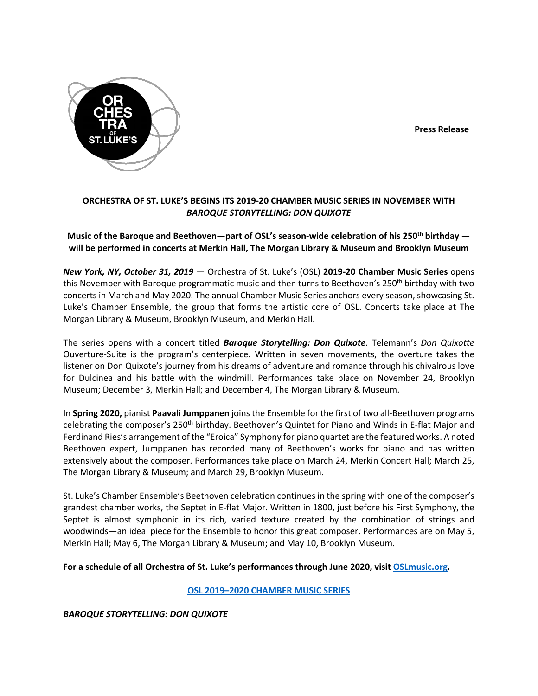**Press Release**



# **ORCHESTRA OF ST. LUKE'S BEGINS ITS 2019-20 CHAMBER MUSIC SERIES IN NOVEMBER WITH** *BAROQUE STORYTELLING: DON QUIXOTE*

**Music of the Baroque and Beethoven—part of OSL's season-wide celebration of his 250th birthday will be performed in concerts at Merkin Hall, The Morgan Library & Museum and Brooklyn Museum**

*New York, NY, October 31, 2019* — Orchestra of St. Luke's (OSL) **2019-20 Chamber Music Series** opens this November with Baroque programmatic music and then turns to Beethoven's 250<sup>th</sup> birthday with two concerts in March and May 2020. The annual Chamber Music Series anchors every season, showcasing St. Luke's Chamber Ensemble, the group that forms the artistic core of OSL. Concerts take place at The Morgan Library & Museum, Brooklyn Museum, and Merkin Hall.

The series opens with a concert titled *Baroque Storytelling: Don Quixote*. Telemann's *Don Quixotte* Ouverture-Suite is the program's centerpiece. Written in seven movements, the overture takes the listener on Don Quixote's journey from his dreams of adventure and romance through his chivalrous love for Dulcinea and his battle with the windmill. Performances take place on November 24, Brooklyn Museum; December 3, Merkin Hall; and December 4, The Morgan Library & Museum.

In **Spring 2020,** pianist **Paavali Jumppanen** joins the Ensemble for the first of two all-Beethoven programs celebrating the composer's 250<sup>th</sup> birthday. Beethoven's Quintet for Piano and Winds in E-flat Major and Ferdinand Ries's arrangement of the "Eroica" Symphony for piano quartet are the featured works. A noted Beethoven expert, Jumppanen has recorded many of Beethoven's works for piano and has written extensively about the composer. Performances take place on March 24, Merkin Concert Hall; March 25, The Morgan Library & Museum; and March 29, Brooklyn Museum.

St. Luke's Chamber Ensemble's Beethoven celebration continues in the spring with one of the composer's grandest chamber works, the Septet in E-flat Major. Written in 1800, just before his First Symphony, the Septet is almost symphonic in its rich, varied texture created by the combination of strings and woodwinds—an ideal piece for the Ensemble to honor this great composer. Performances are on May 5, Merkin Hall; May 6, The Morgan Library & Museum; and May 10, Brooklyn Museum.

**For a schedule of all Orchestra of St. Luke's performances through June 2020, visit OSLmusic.org.**

**OSL 2019–2020 CHAMBER MUSIC SERIES**

*BAROQUE STORYTELLING: DON QUIXOTE*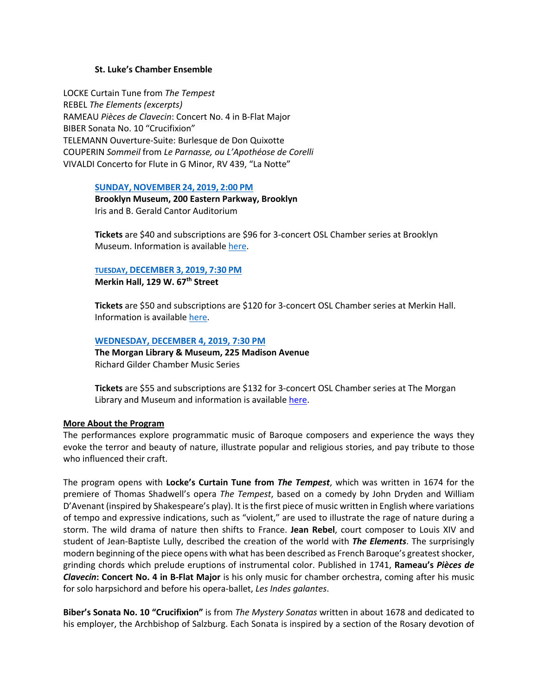### **St. Luke's Chamber Ensemble**

LOCKE Curtain Tune from *The Tempest* REBEL *The Elements (excerpts)* RAMEAU *Pièces de Clavecin*: Concert No. 4 in B-Flat Major BIBER Sonata No. 10 "Crucifixion" TELEMANN Ouverture-Suite: Burlesque de Don Quixotte COUPERIN *Sommeil* from *Le Parnasse, ou L'Apothéose de Corelli* VIVALDI Concerto for Flute in G Minor, RV 439, "La Notte"

### **SUNDAY, NOVEMBER 24, 2019, 2:00 PM**

**Brooklyn Museum, 200 Eastern Parkway, Brooklyn** Iris and B. Gerald Cantor Auditorium

**Tickets** are \$40 and subscriptions are \$96 for 3-concert OSL Chamber series at Brooklyn Museum. Information is available here.

## **TUESDAY, DECEMBER 3, 2019, 7:30 PM**

**Merkin Hall, 129 W. 67th Street**

**Tickets** are \$50 and subscriptions are \$120 for 3-concert OSL Chamber series at Merkin Hall. Information is available here.

## **WEDNESDAY, DECEMBER 4, 2019, 7:30 PM**

**The Morgan Library & Museum, 225 Madison Avenue** Richard Gilder Chamber Music Series

**Tickets** are \$55 and subscriptions are \$132 for 3-concert OSL Chamber series at The Morgan Library and Museum and information is available here.

# **More About the Program**

The performances explore programmatic music of Baroque composers and experience the ways they evoke the terror and beauty of nature, illustrate popular and religious stories, and pay tribute to those who influenced their craft.

The program opens with **Locke's Curtain Tune from** *The Tempest*, which was written in 1674 for the premiere of Thomas Shadwell's opera *The Tempest*, based on a comedy by John Dryden and William D'Avenant (inspired by Shakespeare's play). It is the first piece of music written in English where variations of tempo and expressive indications, such as "violent," are used to illustrate the rage of nature during a storm. The wild drama of nature then shifts to France. **Jean Rebel**, court composer to Louis XIV and student of Jean-Baptiste Lully, described the creation of the world with *The Elements*. The surprisingly modern beginning of the piece opens with what has been described as French Baroque's greatest shocker, grinding chords which prelude eruptions of instrumental color. Published in 1741, **Rameau's** *Pièces de Clavecin***: Concert No. 4 in B-Flat Major** is his only music for chamber orchestra, coming after his music for solo harpsichord and before his opera-ballet, *Les Indes galantes*.

**Biber's Sonata No. 10 "Crucifixion"** is from *The Mystery Sonatas* written in about 1678 and dedicated to his employer, the Archbishop of Salzburg. Each Sonata is inspired by a section of the Rosary devotion of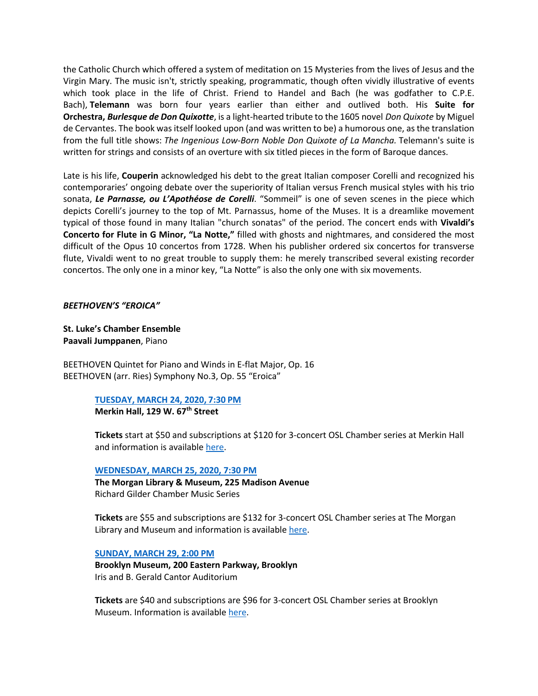the Catholic Church which offered a system of meditation on 15 Mysteries from the lives of Jesus and the Virgin Mary. The music isn't, strictly speaking, programmatic, though often vividly illustrative of events which took place in the life of Christ. Friend to Handel and Bach (he was godfather to C.P.E. Bach), **Telemann** was born four years earlier than either and outlived both. His **Suite for Orchestra,** *Burlesque de Don Quixotte*, is a light-hearted tribute to the 1605 novel *Don Quixote* by Miguel de Cervantes. The book was itself looked upon (and was written to be) a humorous one, as the translation from the full title shows: *The Ingenious Low-Born Noble Don Quixote of La Mancha.* Telemann's suite is written for strings and consists of an overture with six titled pieces in the form of Baroque dances.

Late is his life, **Couperin** acknowledged his debt to the great Italian composer Corelli and recognized his contemporaries' ongoing debate over the superiority of Italian versus French musical styles with his trio sonata, *Le Parnasse, ou L'Apothéose de Corelli*. "Sommeil" is one of seven scenes in the piece which depicts Corelli's journey to the top of Mt. Parnassus, home of the Muses. It is a dreamlike movement typical of those found in many Italian "church sonatas" of the period. The concert ends with **Vivaldi's Concerto for Flute in G Minor, "La Notte,"** filled with ghosts and nightmares, and considered the most difficult of the Opus 10 concertos from 1728. When his publisher ordered six concertos for transverse flute, Vivaldi went to no great trouble to supply them: he merely transcribed several existing recorder concertos. The only one in a minor key, "La Notte" is also the only one with six movements.

## *BEETHOVEN'S "EROICA"*

# **St. Luke's Chamber Ensemble Paavali Jumppanen**, Piano

BEETHOVEN Quintet for Piano and Winds in E-flat Major, Op. 16 BEETHOVEN (arr. Ries) Symphony No.3, Op. 55 "Eroica"

# **TUESDAY, MARCH 24, 2020, 7:30 PM**

**Merkin Hall, 129 W. 67th Street**

**Tickets** start at \$50 and subscriptions at \$120 for 3-concert OSL Chamber series at Merkin Hall and information is available here.

# **WEDNESDAY, MARCH 25, 2020, 7:30 PM**

**The Morgan Library & Museum, 225 Madison Avenue** Richard Gilder Chamber Music Series

**Tickets** are \$55 and subscriptions are \$132 for 3-concert OSL Chamber series at The Morgan Library and Museum and information is available here.

### **SUNDAY, MARCH 29, 2:00 PM**

**Brooklyn Museum, 200 Eastern Parkway, Brooklyn** Iris and B. Gerald Cantor Auditorium

**Tickets** are \$40 and subscriptions are \$96 for 3-concert OSL Chamber series at Brooklyn Museum. Information is available here.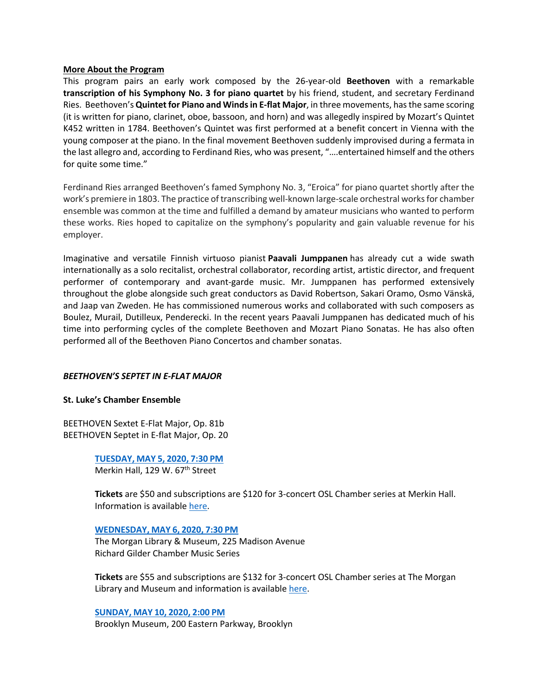### **More About the Program**

This program pairs an early work composed by the 26-year-old **Beethoven** with a remarkable **transcription of his Symphony No. 3 for piano quartet** by his friend, student, and secretary Ferdinand Ries. Beethoven's **Quintet for Piano and Winds in E-flat Major**, in three movements, has the same scoring (it is written for piano, clarinet, oboe, bassoon, and horn) and was allegedly inspired by Mozart's Quintet K452 written in 1784. Beethoven's Quintet was first performed at a benefit concert in Vienna with the young composer at the piano. In the final movement Beethoven suddenly improvised during a fermata in the last allegro and, according to Ferdinand Ries, who was present, "….entertained himself and the others for quite some time."

Ferdinand Ries arranged Beethoven's famed Symphony No. 3, "Eroica" for piano quartet shortly after the work's premiere in 1803. The practice of transcribing well-known large-scale orchestral works for chamber ensemble was common at the time and fulfilled a demand by amateur musicians who wanted to perform these works. Ries hoped to capitalize on the symphony's popularity and gain valuable revenue for his employer.

Imaginative and versatile Finnish virtuoso pianist **Paavali Jumppanen** has already cut a wide swath internationally as a solo recitalist, orchestral collaborator, recording artist, artistic director, and frequent performer of contemporary and avant-garde music. Mr. Jumppanen has performed extensively throughout the globe alongside such great conductors as David Robertson, Sakari Oramo, Osmo Vänskä, and Jaap van Zweden. He has commissioned numerous works and collaborated with such composers as Boulez, Murail, Dutilleux, Penderecki. In the recent years Paavali Jumppanen has dedicated much of his time into performing cycles of the complete Beethoven and Mozart Piano Sonatas. He has also often performed all of the Beethoven Piano Concertos and chamber sonatas.

### *BEETHOVEN'S SEPTET IN E-FLAT MAJOR*

### **St. Luke's Chamber Ensemble**

BEETHOVEN Sextet E-Flat Major, Op. 81b BEETHOVEN Septet in E-flat Major, Op. 20

> **TUESDAY, MAY 5, 2020, 7:30 PM** Merkin Hall, 129 W. 67<sup>th</sup> Street

**Tickets** are \$50 and subscriptions are \$120 for 3-concert OSL Chamber series at Merkin Hall. Information is available here.

### **WEDNESDAY, MAY 6, 2020, 7:30 PM**

The Morgan Library & Museum, 225 Madison Avenue Richard Gilder Chamber Music Series

**Tickets** are \$55 and subscriptions are \$132 for 3-concert OSL Chamber series at The Morgan Library and Museum and information is available here.

**SUNDAY, MAY 10, 2020, 2:00 PM** Brooklyn Museum, 200 Eastern Parkway, Brooklyn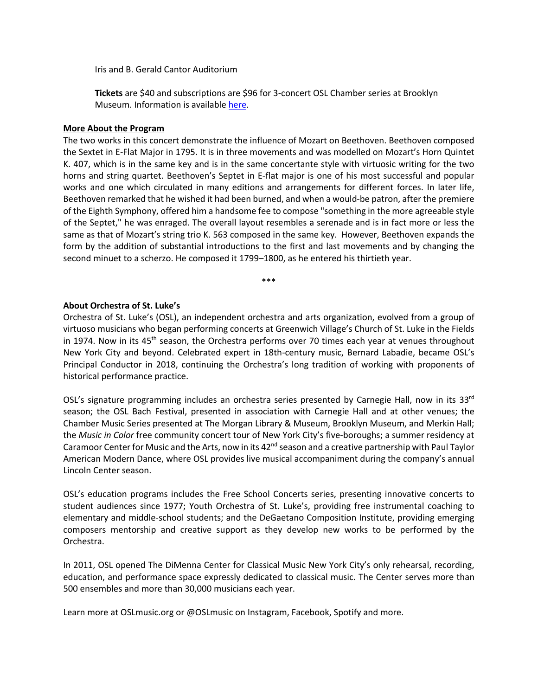Iris and B. Gerald Cantor Auditorium

**Tickets** are \$40 and subscriptions are \$96 for 3-concert OSL Chamber series at Brooklyn Museum. Information is available here.

### **More About the Program**

The two works in this concert demonstrate the influence of Mozart on Beethoven. Beethoven composed the Sextet in E-Flat Major in 1795. It is in three movements and was modelled on Mozart's Horn Quintet K. 407, which is in the same key and is in the same concertante style with virtuosic writing for the two horns and string quartet. Beethoven's Septet in E-flat major is one of his most successful and popular works and one which circulated in many editions and arrangements for different forces. In later life, Beethoven remarked that he wished it had been burned, and when a would-be patron, after the premiere of the Eighth Symphony, offered him a handsome fee to compose "something in the more agreeable style of the Septet," he was enraged. The overall layout resembles a serenade and is in fact more or less the same as that of Mozart's string trio K. 563 composed in the same key. However, Beethoven expands the form by the addition of substantial introductions to the first and last movements and by changing the second minuet to a scherzo. He composed it 1799–1800, as he entered his thirtieth year.

\*\*\*

## **About Orchestra of St. Luke's**

Orchestra of St. Luke's (OSL), an independent orchestra and arts organization, evolved from a group of virtuoso musicians who began performing concerts at Greenwich Village's Church of St. Luke in the Fields in 1974. Now in its 45<sup>th</sup> season, the Orchestra performs over 70 times each year at venues throughout New York City and beyond. Celebrated expert in 18th-century music, Bernard Labadie, became OSL's Principal Conductor in 2018, continuing the Orchestra's long tradition of working with proponents of historical performance practice.

OSL's signature programming includes an orchestra series presented by Carnegie Hall, now in its 33<sup>rd</sup> season; the OSL Bach Festival, presented in association with Carnegie Hall and at other venues; the Chamber Music Series presented at The Morgan Library & Museum, Brooklyn Museum, and Merkin Hall; the *Music in Color* free community concert tour of New York City's five-boroughs; a summer residency at Caramoor Center for Music and the Arts, now in its  $42<sup>nd</sup>$  season and a creative partnership with Paul Taylor American Modern Dance, where OSL provides live musical accompaniment during the company's annual Lincoln Center season.

OSL's education programs includes the Free School Concerts series, presenting innovative concerts to student audiences since 1977; Youth Orchestra of St. Luke's, providing free instrumental coaching to elementary and middle-school students; and the DeGaetano Composition Institute, providing emerging composers mentorship and creative support as they develop new works to be performed by the Orchestra.

In 2011, OSL opened The DiMenna Center for Classical Music New York City's only rehearsal, recording, education, and performance space expressly dedicated to classical music. The Center serves more than 500 ensembles and more than 30,000 musicians each year.

Learn more at OSLmusic.org or @OSLmusic on Instagram, Facebook, Spotify and more.